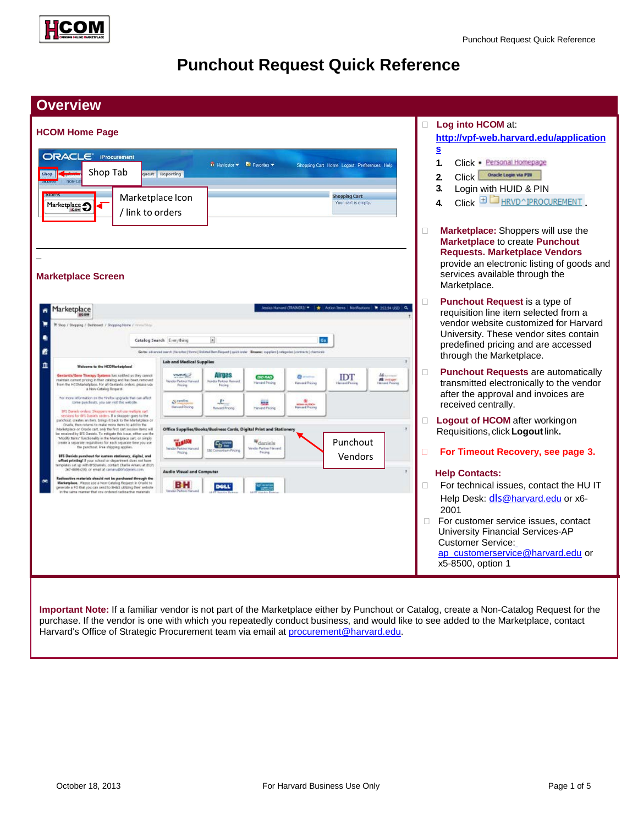

# **Punchout Request Quick Reference**

| <b>Overview</b>                                                                                                                                                                                                                                                                                                                                                                                                                                                                                                                                                                                                                                                                                                                                                                                                                                                                                                                                                                                                                                                                    |                                                                                                                                                                                                                                                                                                                                                                                                                      |                                                                                                                                                                                                                                                   |  |  |  |  |
|------------------------------------------------------------------------------------------------------------------------------------------------------------------------------------------------------------------------------------------------------------------------------------------------------------------------------------------------------------------------------------------------------------------------------------------------------------------------------------------------------------------------------------------------------------------------------------------------------------------------------------------------------------------------------------------------------------------------------------------------------------------------------------------------------------------------------------------------------------------------------------------------------------------------------------------------------------------------------------------------------------------------------------------------------------------------------------|----------------------------------------------------------------------------------------------------------------------------------------------------------------------------------------------------------------------------------------------------------------------------------------------------------------------------------------------------------------------------------------------------------------------|---------------------------------------------------------------------------------------------------------------------------------------------------------------------------------------------------------------------------------------------------|--|--|--|--|
| <b>HCOM Home Page</b>                                                                                                                                                                                                                                                                                                                                                                                                                                                                                                                                                                                                                                                                                                                                                                                                                                                                                                                                                                                                                                                              | Log into HCOM at:<br>http://vpf-web.harvard.edu/application                                                                                                                                                                                                                                                                                                                                                          |                                                                                                                                                                                                                                                   |  |  |  |  |
| <b>ORACLE IProcurement</b><br>Shop Tab<br>uest Reporting<br>Shop<br>Marketplace Icon<br>Marketplace -<br>/ link to orders                                                                                                                                                                                                                                                                                                                                                                                                                                                                                                                                                                                                                                                                                                                                                                                                                                                                                                                                                          | <b>n</b> Navigator <b>C</b> Favorites <b>v</b><br>Shopping Cart Home Logout Preferences Help<br>Shopping Cart<br>Your cart is empty.                                                                                                                                                                                                                                                                                 | $\underline{\underline{\mathbf{s}}}$<br>1.<br>Click · Personal Homepage<br>Oracle Login via PIN<br>Click<br>2.<br>3.<br>Login with HUID & PIN<br>$Click$ $\boxplus$ $\Box$ HRVD^IPROCUREMENT<br>4                                                 |  |  |  |  |
| <b>Marketplace Screen</b>                                                                                                                                                                                                                                                                                                                                                                                                                                                                                                                                                                                                                                                                                                                                                                                                                                                                                                                                                                                                                                                          |                                                                                                                                                                                                                                                                                                                                                                                                                      | Marketplace: Shoppers will use the<br>п<br><b>Marketplace to create Punchout</b><br><b>Requests. Marketplace Vendors</b><br>provide an electronic listing of goods and<br>services available through the<br>Marketplace.                          |  |  |  |  |
| Marketplace<br>ñ<br>Shop / Stopping / Defritrest / Shopping Home / Hermitikes<br>Catalog Search Everything                                                                                                                                                                                                                                                                                                                                                                                                                                                                                                                                                                                                                                                                                                                                                                                                                                                                                                                                                                         | essica Harvard (TRAINER3) =   +   Action Items   Notifications   + 353.54 USD   Q.<br>$\left  \cdot \right $<br>Go<br>Geter adversed search (forester) forms (Unioned Barn Request (quick order Benewer ouppliers (categories (contracts) chemicals                                                                                                                                                                  | <b>Punchout Request is a type of</b><br>$\Box$<br>requisition line item selected from a<br>vendor website customized for Harvard<br>University. These vendor sites contain<br>predefined pricing and are accessed<br>through the Marketplace.     |  |  |  |  |
| m<br>Welcome to the HCOMarketplace<br>Gestavda/Gene Therapy Systems has nothed us they cannot<br>maintain current pricing in their catalog and has been removed<br>from the HCOMarketplace. For all centantis orders, please use<br>a Non-Catalog Request:<br>har more information an the finefox upgrade that can affect<br>some painthods, jobs can visit this website.                                                                                                                                                                                                                                                                                                                                                                                                                                                                                                                                                                                                                                                                                                          | <b>Lab and Medical Supplies</b><br>$\pm$<br>Alipsis<br><b>VWHALL</b><br>$0 -$<br><b>IDT</b><br><b>BIO FIAD</b><br><b>All instrum</b><br>Vender Partner Harvard<br>der Partmer Han<br>Friting<br><b>Hancock Pincing</b><br><b>Harnard Pincing</b><br>Pering<br><b>Construction</b><br>$\mathbf{r}$<br>$\frac{R}{4\pi\pi d\ln n}$<br><b>REAL</b><br>Hanaed Pincing<br><b>Henverd Pricing</b><br><b>Hansand Pricing</b> | <b>Punchout Requests are automatically</b><br>O<br>transmitted electronically to the vendor<br>after the approval and invoices are<br>received centrally.                                                                                         |  |  |  |  |
| BFS Daniels orders: Shippers must not use methols cart.<br>ions for 6FS Daniels profers. If a shopper goes to the<br>panchout, creates an item, brings it back to the Marketplace or<br>Oracle, then returns to make regre turns to add to the<br>Marketplace or Oracle cart, only the first cart session items will<br>be received by \$F5 Daniels. To mitigate this issue, either use the<br>"Modify Barns" functionality in the Marketplace cart, or simply<br>create a separate requisitions for each separate time you use<br>the punchout. Free shipping applies.<br>BFS Daniels punchout for custom stationary, digital, and<br>affect printing! If your school or department does not have<br>templates set up with BFSDamels, contact Charlie Amanu at (827)<br>267-8899x299, or entail at camaruphilistenies.com<br>Redioactive materials should not be purchased through the<br>Marketplace, Please use a Non-Catalog Request in Orade to<br>rerate a FO that you can rend to SH&S utilizing their website<br>in the same manner that you ordered nedigative materials. | Office Supplies/Books/Business Cards, Digital Print and Stationery<br>Punchout<br><b>TAXABLE</b><br>daniels<br>ና ም<br>Vendor Partner Harvard<br>Vereins Partner Marvard<br><b>INI Consertium Price</b><br>Pricing<br>Pering<br>Vendors<br><b>Audio Visual and Computer</b><br>вн<br><b>DOLL</b>                                                                                                                      | <b>Logout of HCOM</b> after working on<br>п.<br>Requisitions, click Logout link.<br>For Timeout Recovery, see page 3.<br>O<br><b>Help Contacts:</b><br>For technical issues, contact the HU IT<br>П.<br>Help Desk: dls@harvard.edu or x6-<br>2001 |  |  |  |  |
|                                                                                                                                                                                                                                                                                                                                                                                                                                                                                                                                                                                                                                                                                                                                                                                                                                                                                                                                                                                                                                                                                    |                                                                                                                                                                                                                                                                                                                                                                                                                      | For customer service issues, contact<br>$\Box$<br>University Financial Services-AP<br><b>Customer Service:</b><br>ap customerservice@harvard.edu or<br>x5-8500, option 1                                                                          |  |  |  |  |

**Important Note:** If a familiar vendor is not part of the Marketplace either by Punchout or Catalog, create a Non-Catalog Request for the purchase. If the vendor is one with which you repeatedly conduct business, and would like to see added to the Marketplace, contact Harvard's Office of Strategic Procurement team via email at **procurement@harvard.edu.**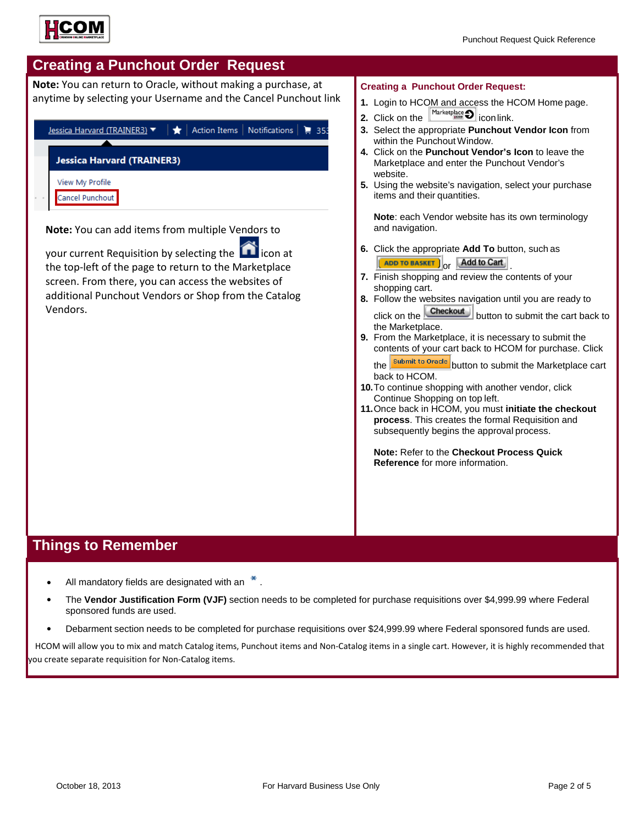

## **Creating a Punchout Order Request**

**Note:** You can return to Oracle, without making a purchase, at anytime by selecting your Username and the Cancel Punchout link



**6.** Click the appropriate **Add To** button, such as ADD TO BASKET Or **Add to Cart** 

**Creating a Punchout Order Request:**

**1.** Login to HCOM and access the HCOM Home page.

- **7.** Finish shopping and review the contents of your shopping cart.
- **8.** Follow the websites navigation until you are ready to click on the **Checkout** button to submit the cart back to the Marketplace.
- **9.** From the Marketplace, it is necessary to submit the contents of your cart back to HCOM for purchase. Click the **submit to Oracle** button to submit the Marketplace cart

back to HCOM.

- **10.**To continue shopping with another vendor, click Continue Shopping on top left.
- **11.**Once back in HCOM, you must **initiate the checkout process**. This creates the formal Requisition and subsequently begins the approval process.

**Note:** Refer to the **Checkout Process Quick Reference** for more information.

your current Requisition by selecting the  $\Box$  icon at the top-left of the page to return to the Marketplace screen. From there, you can access the websites of additional Punchout Vendors or Shop from the Catalog Vendors.

## **Things to Remember**

- All mandatory fields are designated with an  $*$ .
- The **Vendor Justification Form (VJF)** section needs to be completed for purchase requisitions over \$4,999.99 where Federal sponsored funds are used.
- Debarment section needs to be completed for purchase requisitions over \$24,999.99 where Federal sponsored funds are used.

HCOM will allow you to mix and match Catalog items, Punchout items and Non-Catalog items in a single cart. However, it is highly recommended that you create separate requisition for Non-Catalog items.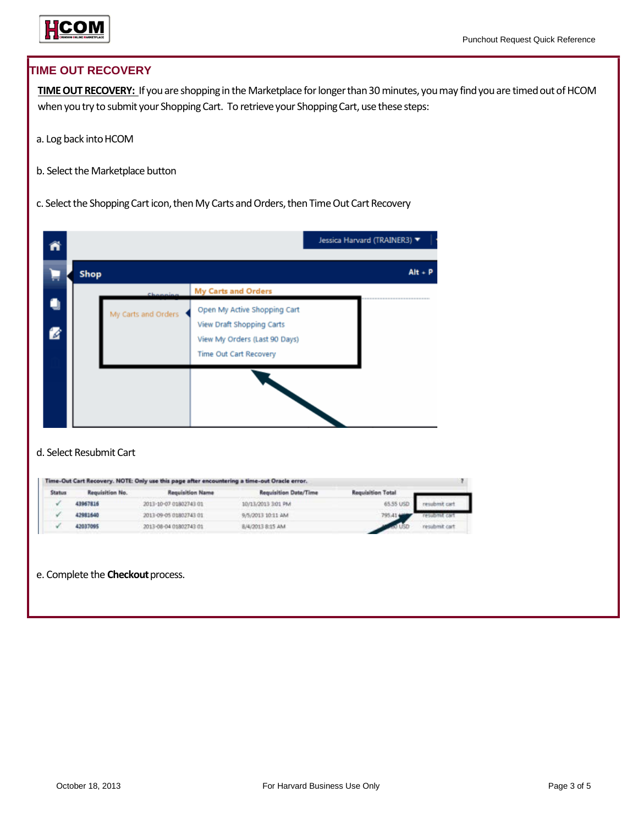

### **TIME OUT RECOVERY**

TIME OUT RECOVERY: If you are shopping in the Marketplace for longer than 30 minutes, you may find you are timed out of HCOM when you try to submit your Shopping Cart. To retrieve your Shopping Cart, use these steps:

- a. Log back into HCOM
- b. Select the Marketplace button
- c. Select the Shopping Cart icon, then My Carts and Orders, then Time Out Cart Recovery

|               |      |                                 |                                                                                                                                                    | Jessica Harvard (TRAINER3) ▼ |
|---------------|------|---------------------------------|----------------------------------------------------------------------------------------------------------------------------------------------------|------------------------------|
|               | Shop |                                 |                                                                                                                                                    | $Alt + P$                    |
| $\mathscr{A}$ |      | Channing<br>My Carts and Orders | <b>My Carts and Orders</b><br>Open My Active Shopping Cart<br>View Draft Shopping Carts<br>View My Orders (Last 90 Days)<br>Time Out Cart Recovery |                              |
|               |      |                                 |                                                                                                                                                    |                              |

### d. Select Resubmit Cart

| Requisition No. | Requisition Name       | Requisition Date/Time | <b>Requisition Total</b> |               |
|-----------------|------------------------|-----------------------|--------------------------|---------------|
| 43967816        | 2013-10-07 01802743 01 | 10/13/2013 3:01 PM    | 65.55 USD                |               |
| 42981640        | 2013-09-05 01802743 01 | 9/5/2013 10:11 AM     | 795.414                  |               |
| 42037095        | 2013-08-04 01802743 01 | 8/4/2013 8:15 AM      |                          | resubmit cart |
|                 |                        |                       |                          |               |

e. Complete the **Checkout** process.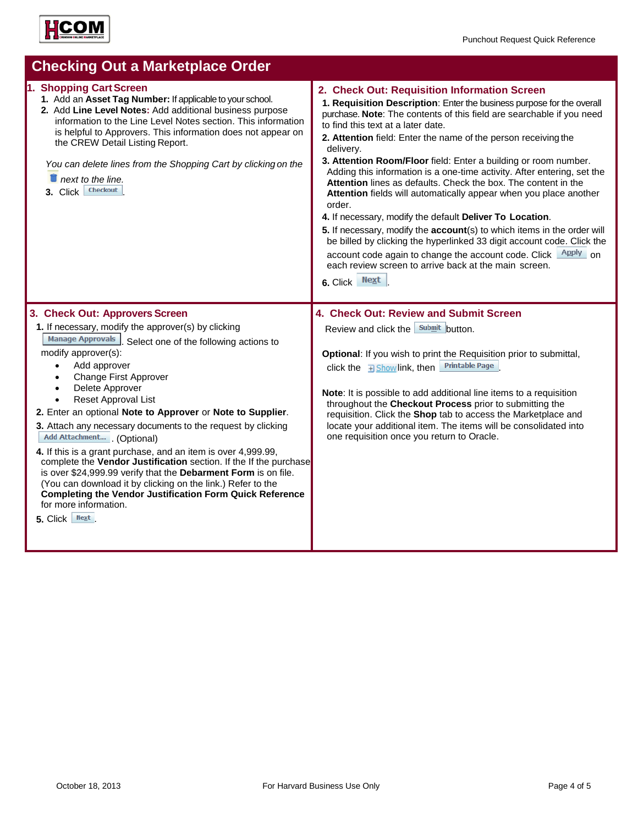

| <b>Checking Out a Marketplace Order</b>                                                                                                                                                                                                                                                                                                                                                                                                                                                                                                                                                                                                                                                                                                                                                                                           |                                                                                                                                                                                                                                                                                                                                                                                                                                                                                                                                                                                                                                                                                                                                                                                                                                                                                                                                                                                        |  |  |  |
|-----------------------------------------------------------------------------------------------------------------------------------------------------------------------------------------------------------------------------------------------------------------------------------------------------------------------------------------------------------------------------------------------------------------------------------------------------------------------------------------------------------------------------------------------------------------------------------------------------------------------------------------------------------------------------------------------------------------------------------------------------------------------------------------------------------------------------------|----------------------------------------------------------------------------------------------------------------------------------------------------------------------------------------------------------------------------------------------------------------------------------------------------------------------------------------------------------------------------------------------------------------------------------------------------------------------------------------------------------------------------------------------------------------------------------------------------------------------------------------------------------------------------------------------------------------------------------------------------------------------------------------------------------------------------------------------------------------------------------------------------------------------------------------------------------------------------------------|--|--|--|
| 1. Shopping Cart Screen<br>1. Add an Asset Tag Number: If applicable to your school.<br>2. Add Line Level Notes: Add additional business purpose<br>information to the Line Level Notes section. This information<br>is helpful to Approvers. This information does not appear on<br>the CREW Detail Listing Report.<br>You can delete lines from the Shopping Cart by clicking on the<br>$\blacksquare$ next to the line.<br><b>Checkout</b><br>$3.$ Click                                                                                                                                                                                                                                                                                                                                                                       | 2. Check Out: Requisition Information Screen<br>1. Requisition Description: Enter the business purpose for the overall<br>purchase. Note: The contents of this field are searchable if you need<br>to find this text at a later date.<br>2. Attention field: Enter the name of the person receiving the<br>delivery.<br>3. Attention Room/Floor field: Enter a building or room number.<br>Adding this information is a one-time activity. After entering, set the<br>Attention lines as defaults. Check the box. The content in the<br>Attention fields will automatically appear when you place another<br>order.<br>4. If necessary, modify the default Deliver To Location.<br>5. If necessary, modify the account(s) to which items in the order will<br>be billed by clicking the hyperlinked 33 digit account code. Click the<br>account code again to change the account code. Click <u>Apply</u> on<br>each review screen to arrive back at the main screen.<br>6. Click Next |  |  |  |
| 3. Check Out: Approvers Screen<br>1. If necessary, modify the approver(s) by clicking<br>Manage Approvals Select one of the following actions to<br>modify approver(s):<br>Add approver<br>$\bullet$<br>Change First Approver<br>Delete Approver<br>Reset Approval List<br>2. Enter an optional Note to Approver or Note to Supplier.<br>3. Attach any necessary documents to the request by clicking<br>Add Attachment (Optional)<br>4. If this is a grant purchase, and an item is over 4,999.99,<br>complete the Vendor Justification section. If the If the purchase<br>is over \$24,999.99 verify that the Debarment Form is on file.<br>(You can download it by clicking on the link.) Refer to the<br><b>Completing the Vendor Justification Form Quick Reference</b><br>for more information.<br>Next<br>5. Click $\vert$ | 4. Check Out: Review and Submit Screen<br>Review and click the submit button.<br>Optional: If you wish to print the Requisition prior to submittal,<br><b>Printable Page</b><br>click the $\exists$ Showlink, then<br>Note: It is possible to add additional line items to a requisition<br>throughout the Checkout Process prior to submitting the<br>requisition. Click the Shop tab to access the Marketplace and<br>locate your additional item. The items will be consolidated into<br>one requisition once you return to Oracle.                                                                                                                                                                                                                                                                                                                                                                                                                                                 |  |  |  |